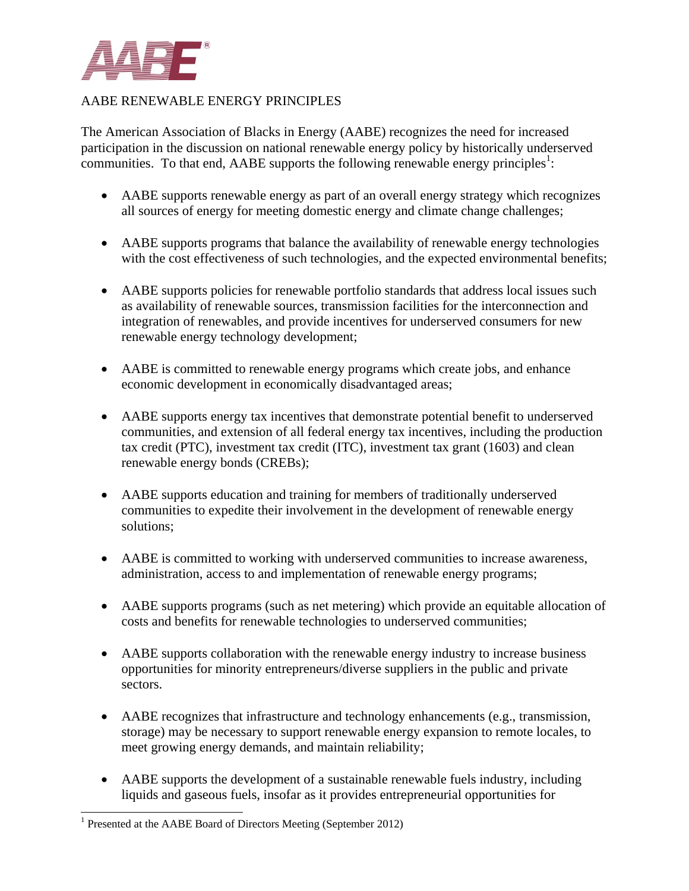

## AABE RENEWABLE ENERGY PRINCIPLES

The American Association of Blacks in Energy (AABE) recognizes the need for increased participation in the discussion on national renewable energy policy by historically underserved communities. To that end,  $AABE$  supports the following renewable energy principles<sup>1</sup>:

- AABE supports renewable energy as part of an overall energy strategy which recognizes all sources of energy for meeting domestic energy and climate change challenges;
- AABE supports programs that balance the availability of renewable energy technologies with the cost effectiveness of such technologies, and the expected environmental benefits;
- AABE supports policies for renewable portfolio standards that address local issues such as availability of renewable sources, transmission facilities for the interconnection and integration of renewables, and provide incentives for underserved consumers for new renewable energy technology development;
- AABE is committed to renewable energy programs which create jobs, and enhance economic development in economically disadvantaged areas;
- AABE supports energy tax incentives that demonstrate potential benefit to underserved communities, and extension of all federal energy tax incentives, including the production tax credit (PTC), investment tax credit (ITC), investment tax grant (1603) and clean renewable energy bonds (CREBs);
- AABE supports education and training for members of traditionally underserved communities to expedite their involvement in the development of renewable energy solutions;
- AABE is committed to working with underserved communities to increase awareness, administration, access to and implementation of renewable energy programs;
- AABE supports programs (such as net metering) which provide an equitable allocation of costs and benefits for renewable technologies to underserved communities;
- AABE supports collaboration with the renewable energy industry to increase business opportunities for minority entrepreneurs/diverse suppliers in the public and private sectors.
- AABE recognizes that infrastructure and technology enhancements (e.g., transmission, storage) may be necessary to support renewable energy expansion to remote locales, to meet growing energy demands, and maintain reliability;
- AABE supports the development of a sustainable renewable fuels industry, including liquids and gaseous fuels, insofar as it provides entrepreneurial opportunities for

 $\overline{\phantom{a}}$ 

<sup>&</sup>lt;sup>1</sup> Presented at the AABE Board of Directors Meeting (September 2012)